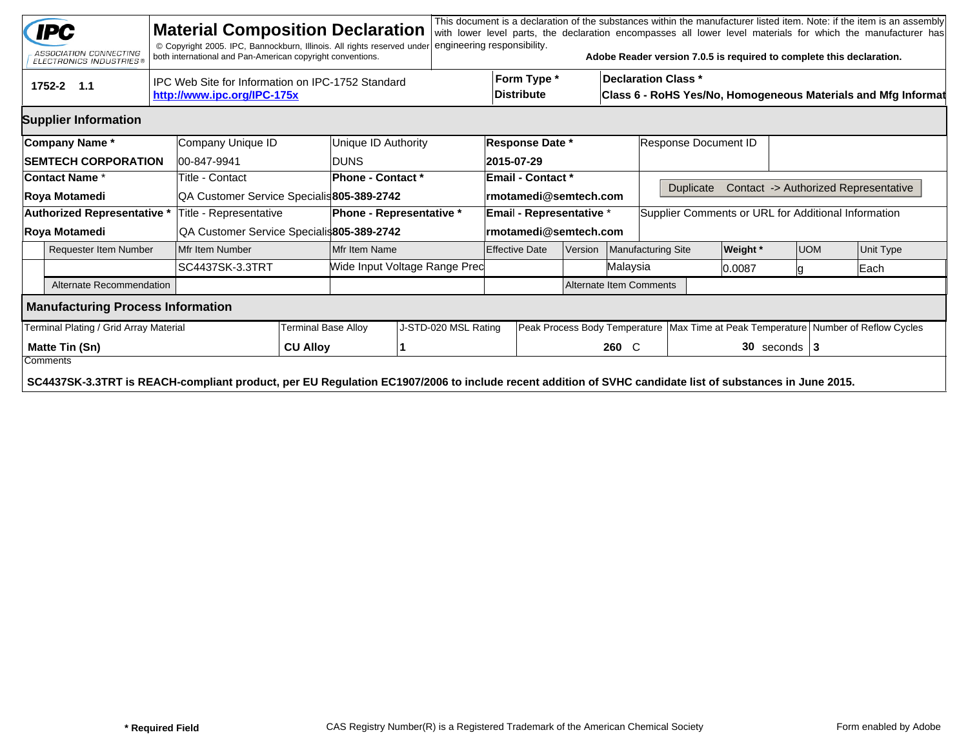|                                                                                                | <b>IPC</b><br>ASSOCIATION CONNECTING<br><b>ELECTRONICS INDUSTRIES®</b>                                                                                  |                 | <b>Material Composition Declaration</b><br>© Copyright 2005. IPC, Bannockburn, Illinois. All rights reserved under<br>both international and Pan-American copyright conventions. |                            |                                 | engineering responsibility.   |                                  |                                  |       |                      |                                                                                             | Adobe Reader version 7.0.5 is required to complete this declaration. |  |                                                                                        | This document is a declaration of the substances within the manufacturer listed item. Note: if the item is an assembly<br>with lower level parts, the declaration encompasses all lower level materials for which the manufacturer has |  |  |  |
|------------------------------------------------------------------------------------------------|---------------------------------------------------------------------------------------------------------------------------------------------------------|-----------------|----------------------------------------------------------------------------------------------------------------------------------------------------------------------------------|----------------------------|---------------------------------|-------------------------------|----------------------------------|----------------------------------|-------|----------------------|---------------------------------------------------------------------------------------------|----------------------------------------------------------------------|--|----------------------------------------------------------------------------------------|----------------------------------------------------------------------------------------------------------------------------------------------------------------------------------------------------------------------------------------|--|--|--|
| IPC Web Site for Information on IPC-1752 Standard<br>1752-2 1.1<br>http://www.ipc.org/IPC-175x |                                                                                                                                                         |                 |                                                                                                                                                                                  |                            |                                 |                               |                                  | Form Type *<br><b>Distribute</b> |       |                      | <b>Declaration Class *</b><br>Class 6 - RoHS Yes/No, Homogeneous Materials and Mfg Informat |                                                                      |  |                                                                                        |                                                                                                                                                                                                                                        |  |  |  |
|                                                                                                | <b>Supplier Information</b>                                                                                                                             |                 |                                                                                                                                                                                  |                            |                                 |                               |                                  |                                  |       |                      |                                                                                             |                                                                      |  |                                                                                        |                                                                                                                                                                                                                                        |  |  |  |
|                                                                                                | Company Name*                                                                                                                                           |                 | Company Unique ID                                                                                                                                                                |                            | Unique ID Authority             | <b>Response Date *</b>        |                                  |                                  |       | Response Document ID |                                                                                             |                                                                      |  |                                                                                        |                                                                                                                                                                                                                                        |  |  |  |
|                                                                                                | <b>SEMTECH CORPORATION</b>                                                                                                                              |                 | 00-847-9941                                                                                                                                                                      |                            | <b>DUNS</b>                     | 2015-07-29                    |                                  |                                  |       |                      |                                                                                             |                                                                      |  |                                                                                        |                                                                                                                                                                                                                                        |  |  |  |
|                                                                                                | <b>Contact Name *</b>                                                                                                                                   |                 | Title - Contact                                                                                                                                                                  |                            | Phone - Contact *               | <b>Email - Contact *</b>      |                                  |                                  |       |                      |                                                                                             |                                                                      |  |                                                                                        |                                                                                                                                                                                                                                        |  |  |  |
| Roya Motamedi                                                                                  |                                                                                                                                                         |                 | QA Customer Service Specialis 805-389-2742                                                                                                                                       |                            |                                 | rmotamedi@semtech.com         |                                  |                                  |       | <b>Duplicate</b>     |                                                                                             |                                                                      |  | Contact -> Authorized Representative                                                   |                                                                                                                                                                                                                                        |  |  |  |
| Authorized Representative *                                                                    |                                                                                                                                                         |                 | Title - Representative                                                                                                                                                           |                            | <b>Phone - Representative *</b> |                               |                                  | <b>Email - Representative *</b>  |       |                      | Supplier Comments or URL for Additional Information                                         |                                                                      |  |                                                                                        |                                                                                                                                                                                                                                        |  |  |  |
| Roya Motamedi                                                                                  |                                                                                                                                                         |                 | QA Customer Service Specialis805-389-2742                                                                                                                                        |                            |                                 | rmotamedi@semtech.com         |                                  |                                  |       |                      |                                                                                             |                                                                      |  |                                                                                        |                                                                                                                                                                                                                                        |  |  |  |
| <b>Requester Item Number</b>                                                                   |                                                                                                                                                         |                 | Mfr Item Number                                                                                                                                                                  |                            | Mfr Item Name                   |                               | <b>Effective Date</b><br>Version |                                  |       | Manufacturing Site   | <b>Weight</b> *                                                                             | <b>UOM</b>                                                           |  | Unit Type                                                                              |                                                                                                                                                                                                                                        |  |  |  |
|                                                                                                |                                                                                                                                                         | SC4437SK-3.3TRT |                                                                                                                                                                                  |                            |                                 | Wide Input Voltage Range Pred |                                  | Malaysia                         |       |                      | 0.0087                                                                                      |                                                                      |  |                                                                                        | Each                                                                                                                                                                                                                                   |  |  |  |
|                                                                                                | Alternate Recommendation                                                                                                                                |                 |                                                                                                                                                                                  |                            |                                 |                               | <b>Alternate Item Comments</b>   |                                  |       |                      |                                                                                             |                                                                      |  |                                                                                        |                                                                                                                                                                                                                                        |  |  |  |
|                                                                                                | <b>Manufacturing Process Information</b>                                                                                                                |                 |                                                                                                                                                                                  |                            |                                 |                               |                                  |                                  |       |                      |                                                                                             |                                                                      |  |                                                                                        |                                                                                                                                                                                                                                        |  |  |  |
| Terminal Plating / Grid Array Material                                                         |                                                                                                                                                         |                 |                                                                                                                                                                                  | <b>Terminal Base Alloy</b> |                                 | J-STD-020 MSL Rating          |                                  |                                  |       |                      |                                                                                             |                                                                      |  | Peak Process Body Temperature   Max Time at Peak Temperature   Number of Reflow Cycles |                                                                                                                                                                                                                                        |  |  |  |
| <b>Matte Tin (Sn)</b><br>Comments                                                              |                                                                                                                                                         |                 | <b>CU Alloy</b>                                                                                                                                                                  |                            |                                 |                               |                                  |                                  | 260 C |                      | $30$ seconds $ 3$                                                                           |                                                                      |  |                                                                                        |                                                                                                                                                                                                                                        |  |  |  |
|                                                                                                | SC4437SK-3.3TRT is REACH-compliant product, per EU Regulation EC1907/2006 to include recent addition of SVHC candidate list of substances in June 2015. |                 |                                                                                                                                                                                  |                            |                                 |                               |                                  |                                  |       |                      |                                                                                             |                                                                      |  |                                                                                        |                                                                                                                                                                                                                                        |  |  |  |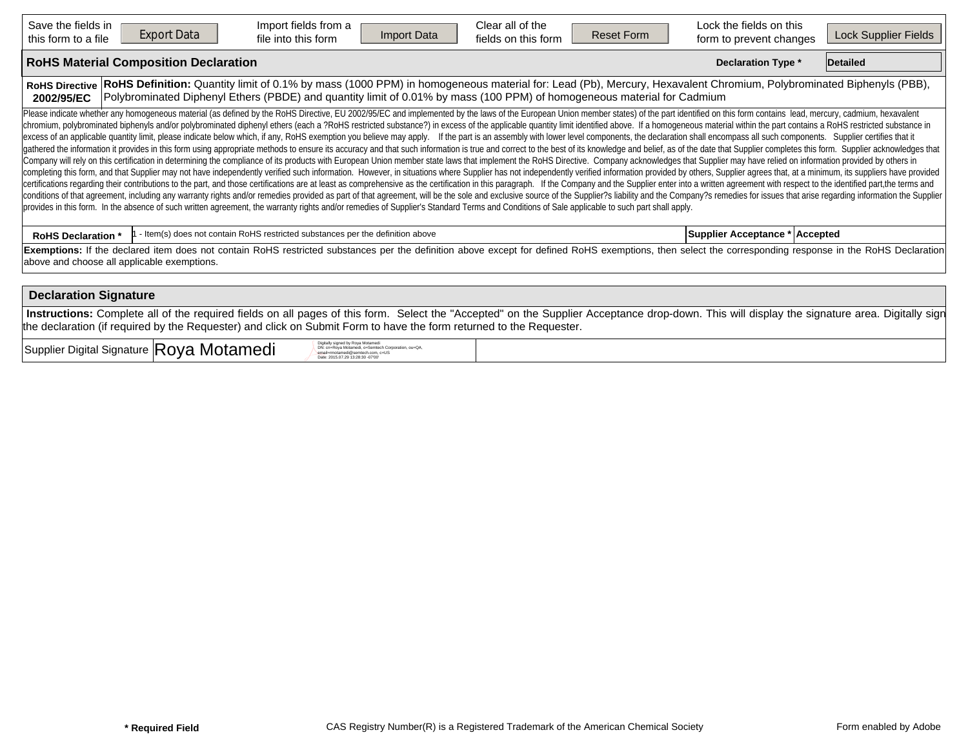| Save the fields in<br><b>Export Data</b><br>this form to a file | Import fields from a<br>Import Data<br>file into this form                                                                                                                                                                                                                                                                                                                                                                                                                                                                                                                                                                                                                                                                                                                                                                                                                                                                                                                                                                                                                                                                                                                                                                                                                                                                                                                                                                                                                                                                                                                                                                                                                                                                                                                                                                                                                                                                                                                                                                                                                  | Clear all of the<br>fields on this form | <b>Reset Form</b> | Lock the fields on this<br>form to prevent changes | Lock Supplier Fields |
|-----------------------------------------------------------------|-----------------------------------------------------------------------------------------------------------------------------------------------------------------------------------------------------------------------------------------------------------------------------------------------------------------------------------------------------------------------------------------------------------------------------------------------------------------------------------------------------------------------------------------------------------------------------------------------------------------------------------------------------------------------------------------------------------------------------------------------------------------------------------------------------------------------------------------------------------------------------------------------------------------------------------------------------------------------------------------------------------------------------------------------------------------------------------------------------------------------------------------------------------------------------------------------------------------------------------------------------------------------------------------------------------------------------------------------------------------------------------------------------------------------------------------------------------------------------------------------------------------------------------------------------------------------------------------------------------------------------------------------------------------------------------------------------------------------------------------------------------------------------------------------------------------------------------------------------------------------------------------------------------------------------------------------------------------------------------------------------------------------------------------------------------------------------|-----------------------------------------|-------------------|----------------------------------------------------|----------------------|
| <b>RoHS Material Composition Declaration</b>                    |                                                                                                                                                                                                                                                                                                                                                                                                                                                                                                                                                                                                                                                                                                                                                                                                                                                                                                                                                                                                                                                                                                                                                                                                                                                                                                                                                                                                                                                                                                                                                                                                                                                                                                                                                                                                                                                                                                                                                                                                                                                                             |                                         |                   | <b>Declaration Type *</b>                          | Detailed             |
| <b>RoHS Directive</b><br>2002/95/EC                             | RoHS Definition: Quantity limit of 0.1% by mass (1000 PPM) in homogeneous material for: Lead (Pb), Mercury, Hexavalent Chromium, Polybrominated Biphenyls (PBB),<br>Polybrominated Diphenyl Ethers (PBDE) and quantity limit of 0.01% by mass (100 PPM) of homogeneous material for Cadmium                                                                                                                                                                                                                                                                                                                                                                                                                                                                                                                                                                                                                                                                                                                                                                                                                                                                                                                                                                                                                                                                                                                                                                                                                                                                                                                                                                                                                                                                                                                                                                                                                                                                                                                                                                                 |                                         |                   |                                                    |                      |
|                                                                 | Please indicate whether any homogeneous material (as defined by the RoHS Directive, EU 2002/95/EC and implemented by the laws of the European Union member states) of the part identified on this form contains lead, mercury,<br>chromium, polybrominated biphenyls and/or polybrominated diphenyl ethers (each a ?RoHS restricted substance?) in excess of the applicable quantity limit identified above. If a homogeneous material within the part contains<br>excess of an applicable quantity limit, please indicate below which, if any, RoHS exemption you believe may apply. If the part is an assembly with lower level components, the declaration shall encompass all such components<br>gathered the information it provides in this form using appropriate methods to ensure its accuracy and that such information is true and correct to the best of its knowledge and belief, as of the date that Supplier complet<br>Company will rely on this certification in determining the compliance of its products with European Union member state laws that implement the RoHS Directive. Company acknowledges that Supplier may have relied on informati<br>completing this form, and that Supplier may not have independently verified such information. However, in situations where Supplier has not independently verified information provided by others, Supplier agrees that, at a<br>certifications regarding their contributions to the part, and those certifications are at least as comprehensive as the certification in this paragraph. If the Company and the Supplier enter into a written agreement with r<br>conditions of that agreement, including any warranty rights and/or remedies provided as part of that agreement, will be the sole and exclusive source of the Supplier?s liability and the Company?s remedies for issues that a<br>provides in this form. In the absence of such written agreement, the warranty rights and/or remedies of Supplier's Standard Terms and Conditions of Sale applicable to such part shall apply. |                                         |                   |                                                    |                      |
| <b>RoHS Declaration *</b>                                       | - Item(s) does not contain RoHS restricted substances per the definition above                                                                                                                                                                                                                                                                                                                                                                                                                                                                                                                                                                                                                                                                                                                                                                                                                                                                                                                                                                                                                                                                                                                                                                                                                                                                                                                                                                                                                                                                                                                                                                                                                                                                                                                                                                                                                                                                                                                                                                                              |                                         |                   | Supplier Acceptance * Accepted                     |                      |
| above and choose all applicable exemptions.                     | Exemptions: If the declared item does not contain RoHS restricted substances per the definition above except for defined RoHS exemptions, then select the corresponding response in the RoHS Declaration                                                                                                                                                                                                                                                                                                                                                                                                                                                                                                                                                                                                                                                                                                                                                                                                                                                                                                                                                                                                                                                                                                                                                                                                                                                                                                                                                                                                                                                                                                                                                                                                                                                                                                                                                                                                                                                                    |                                         |                   |                                                    |                      |
| <b>Declaration Signature</b>                                    |                                                                                                                                                                                                                                                                                                                                                                                                                                                                                                                                                                                                                                                                                                                                                                                                                                                                                                                                                                                                                                                                                                                                                                                                                                                                                                                                                                                                                                                                                                                                                                                                                                                                                                                                                                                                                                                                                                                                                                                                                                                                             |                                         |                   |                                                    |                      |
|                                                                 | Instructions: Complete all of the required fields on all pages of this form. Select the "Accepted" on the Supplier Acceptance drop-down. This will display the signature area. Digitally sign                                                                                                                                                                                                                                                                                                                                                                                                                                                                                                                                                                                                                                                                                                                                                                                                                                                                                                                                                                                                                                                                                                                                                                                                                                                                                                                                                                                                                                                                                                                                                                                                                                                                                                                                                                                                                                                                               |                                         |                   |                                                    |                      |

 $Supplier$  Digital Signature  $|{\sf Roya}$  Motamedi Digital Digital Signature  $\mathbb{R}$ 

DN: cn=Roya Motamedi, o=Semtech Corporation, ou=QA, email=rmotamedi@semtech.com, c=US Date: 2015.07.29 13:28:30 -07'00'

the declaration (if required by the Requester) and click on Submit Form to have the form returned to the Requester.